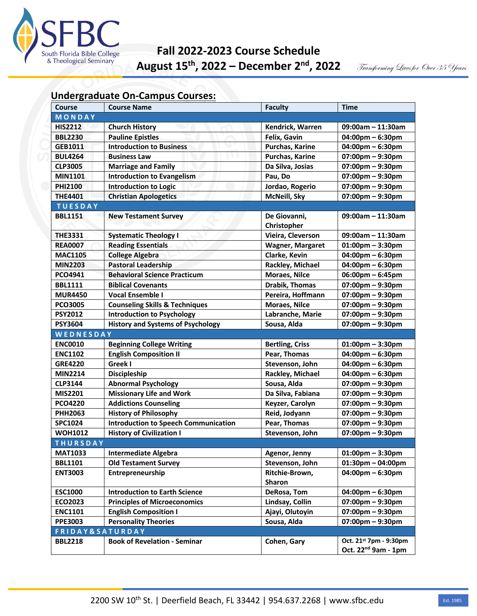

## **Fall 2022-2023 Course Schedule August 15th, 2022 – December 2nd, 2022**

## **Undergraduate On-Campus Courses:**

| <b>Course</b>              | <b>Course Name</b>                          | <b>Faculty</b>          | <b>Time</b>                        |
|----------------------------|---------------------------------------------|-------------------------|------------------------------------|
| MONDAY                     |                                             |                         |                                    |
| <b>HIS2212</b>             | <b>Church History</b>                       | Kendrick, Warren        | $09:00am - 11:30am$                |
| <b>BBL2230</b>             | <b>Pauline Epistles</b>                     | Felix, Gavin            | $04:00$ pm – 6:30pm                |
| GEB1011                    | <b>Introduction to Business</b>             | Purchas, Karine         | $04:00$ pm – 6:30pm                |
| <b>BUL4264</b>             | <b>Business Law</b>                         | Purchas, Karine         | $07:00$ pm - 9:30pm                |
| <b>CLP3005</b>             | <b>Marriage and Family</b>                  | Da Silva, Josias        | 07:00pm - 9:30pm                   |
| <b>MIN1101</b>             | <b>Introduction to Evangelism</b>           | Pau, Do                 | $07:00$ pm - 9:30pm                |
| <b>PHI2100</b>             | <b>Introduction to Logic</b>                | Jordao, Rogerio         | 07:00pm - 9:30pm                   |
| <b>THE4401</b>             | <b>Christian Apologetics</b>                | McNeill, Sky            | $07:00$ pm – 9:30pm                |
| <b>TUESDAY</b>             |                                             |                         |                                    |
| <b>BBL1151</b>             | <b>New Testament Survey</b>                 | De Giovanni,            | $09:00am - 11:30am$                |
|                            |                                             | Christopher             |                                    |
| <b>THE3331</b>             | <b>Systematic Theology I</b>                | Vieira, Cleverson       | $09:00am - 11:30am$                |
| <b>REA0007</b>             | <b>Reading Essentials</b>                   | <b>Wagner, Margaret</b> | $01:00$ pm - 3:30pm                |
| <b>MAC1105</b>             | <b>College Algebra</b>                      | Clarke, Kevin           | $04:00$ pm – 6:30pm                |
| <b>MIN2203</b>             | <b>Pastoral Leadership</b>                  | Rackley, Michael        | $04:00$ pm – 6:30pm                |
| <b>PCO4941</b>             | <b>Behavioral Science Practicum</b>         | <b>Moraes, Nilce</b>    | 06:00pm - 6:45pm                   |
| <b>BBL1111</b>             | <b>Biblical Covenants</b>                   | Drabik, Thomas          | $07:00$ pm - 9:30pm                |
| <b>MUR4450</b>             | <b>Vocal Ensemble I</b>                     | Pereira, Hoffmann       | $07:00$ pm - 9:30pm                |
| <b>PCO3005</b>             | <b>Counseling Skills &amp; Techniques</b>   | <b>Moraes, Nilce</b>    | $07:00$ pm - 9:30pm                |
| <b>PSY2012</b>             | <b>Introduction to Psychology</b>           | Labranche, Marie        | $07:00$ pm - 9:30pm                |
| <b>PSY3604</b>             | <b>History and Systems of Psychology</b>    | Sousa, Alda             | $07:00$ pm - 9:30pm                |
| WEDNESDAY                  |                                             |                         |                                    |
| <b>ENC0010</b>             | <b>Beginning College Writing</b>            | <b>Bertling, Criss</b>  | $01:00$ pm - 3:30pm                |
| <b>ENC1102</b>             | <b>English Composition II</b>               | Pear, Thomas            | $04:00$ pm – 6:30pm                |
| <b>GRE4220</b>             | Greek I                                     | Stevenson, John         | $04:00$ pm – 6:30pm                |
| <b>MIN2214</b>             | Discipleship                                | Rackley, Michael        | $04:00$ pm – 6:30pm                |
| <b>CLP3144</b>             | <b>Abnormal Psychology</b>                  | Sousa, Alda             | $07:00$ pm - 9:30pm                |
| MIS2201                    | <b>Missionary Life and Work</b>             | Da Silva, Fabiana       | $07:00$ pm - 9:30pm                |
| <b>PCO4220</b>             | <b>Addictions Counseling</b>                | Keyzer, Carolyn         | $07:00$ pm - 9:30pm                |
| <b>PHH2063</b>             | <b>History of Philosophy</b>                | Reid, Jodyann           | $07:00$ pm - 9:30pm                |
| <b>SPC1024</b>             | <b>Introduction to Speech Communication</b> | Pear, Thomas            | 07:00pm - 9:30pm                   |
| <b>WOH1012</b>             | <b>History of Civilization I</b>            | Stevenson, John         | $07:00$ pm - 9:30pm                |
| <b>THURSDAY</b>            |                                             |                         |                                    |
| <b>MAT1033</b>             | <b>Intermediate Algebra</b>                 | Agenor, Jenny           | $01:00$ pm - 3:30pm                |
| <b>BBL1101</b>             | <b>Old Testament Survey</b>                 | Stevenson, John         | $01:30$ pm - 04:00pm               |
| <b>ENT3003</b>             | Entrepreneurship                            | Ritchie-Brown,          | $04:00$ pm – 6:30pm                |
|                            |                                             | <b>Sharon</b>           |                                    |
| <b>ESC1000</b>             | <b>Introduction to Earth Science</b>        | DeRosa, Tom             | $04:00$ pm – 6:30pm                |
| ECO2023                    | <b>Principles of Microeconomics</b>         | Lindsay, Collin         | $07:00 \text{pm} - 9:30 \text{pm}$ |
| <b>ENC1101</b>             | <b>English Composition I</b>                | Ajayi, Olutoyin         | $07:00$ pm – 9:30pm                |
| <b>PPE3003</b>             | <b>Personality Theories</b>                 | Sousa, Alda             | $07:00$ pm - 9:30pm                |
| <b>FRIDAY&amp;SATURDAY</b> |                                             |                         |                                    |
| <b>BBL2218</b>             | <b>Book of Revelation - Seminar</b>         | Cohen, Gary             | Oct. 21st 7pm - 9:30pm             |
|                            |                                             |                         | Oct. 22 <sup>nd</sup> 9am - 1pm    |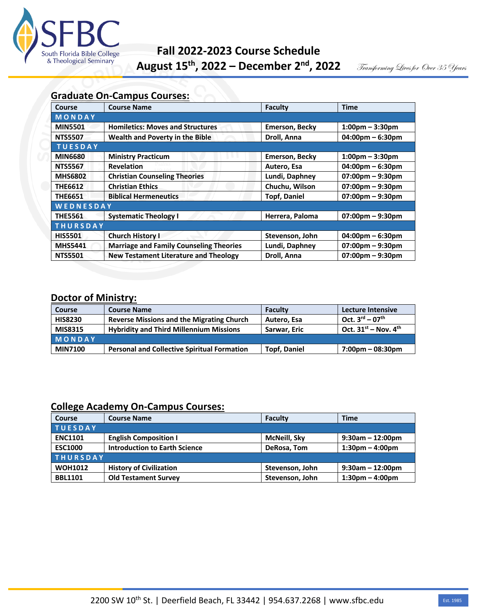

## **Graduate On-Campus Courses:**

| Course          | <b>Course Name</b>                             | Faculty               | <b>Time</b>                        |  |
|-----------------|------------------------------------------------|-----------------------|------------------------------------|--|
| MONDAY          |                                                |                       |                                    |  |
| <b>MIN5501</b>  | <b>Homiletics: Moves and Structures</b>        | <b>Emerson, Becky</b> | $1:00 \text{pm} - 3:30 \text{pm}$  |  |
| <b>NTS5507</b>  | Wealth and Poverty in the Bible                | Droll, Anna           | $04:00$ pm – 6:30pm                |  |
| <b>TUESDAY</b>  |                                                |                       |                                    |  |
| <b>MIN6680</b>  | <b>Ministry Practicum</b>                      | <b>Emerson, Becky</b> | $1:00 \text{pm} - 3:30 \text{pm}$  |  |
| <b>NTS5567</b>  | <b>Revelation</b>                              | Autero, Esa           | $04:00 \text{pm} - 6:30 \text{pm}$ |  |
| <b>MHS6802</b>  | <b>Christian Counseling Theories</b>           | Lundi, Daphney        | $07:00 \text{pm} - 9:30 \text{pm}$ |  |
| <b>THE6612</b>  | <b>Christian Ethics</b>                        | Chuchu, Wilson        | $07:00 \text{pm} - 9:30 \text{pm}$ |  |
| <b>THE6651</b>  | <b>Biblical Hermeneutics</b>                   | <b>Topf, Daniel</b>   | $07:00 \text{pm} - 9:30 \text{pm}$ |  |
| WEDNESDAY       |                                                |                       |                                    |  |
| <b>THE5561</b>  | <b>Systematic Theology I</b>                   | Herrera, Paloma       | $07:00 \text{pm} - 9:30 \text{pm}$ |  |
| <b>THURSDAY</b> |                                                |                       |                                    |  |
| <b>HIS5501</b>  | <b>Church History I</b>                        | Stevenson, John       | $04:00 \text{pm} - 6:30 \text{pm}$ |  |
| <b>MHS5441</b>  | <b>Marriage and Family Counseling Theories</b> | Lundi, Daphney        | $07:00 \text{pm} - 9:30 \text{pm}$ |  |
| <b>NTS5501</b>  | <b>New Testament Literature and Theology</b>   | Droll, Anna           | $07:00$ pm $-9:30$ pm              |  |

## **Doctor of Ministry:**

| <b>Course</b>  | <b>Course Name</b>                                 | <b>Faculty</b>      | <b>Lecture Intensive</b>       |
|----------------|----------------------------------------------------|---------------------|--------------------------------|
| <b>HIS8230</b> | <b>Reverse Missions and the Migrating Church</b>   | Autero. Esa         | $Oct. 3rd - 07th$              |
| <b>MIS8315</b> | <b>Hybridity and Third Millennium Missions</b>     | Sarwar, Eric        | Oct. $31^{st}$ – Nov. $4^{th}$ |
| MONDAY         |                                                    |                     |                                |
| <b>MIN7100</b> | <b>Personal and Collective Spiritual Formation</b> | <b>Topf, Daniel</b> | 7:00pm – 08:30pm               |

## **College Academy On-Campus Courses:**

| <b>Course</b>   | <b>Course Name</b>                   | Faculty         | <b>Time</b>                       |
|-----------------|--------------------------------------|-----------------|-----------------------------------|
| <b>TUESDAY</b>  |                                      |                 |                                   |
| <b>ENC1101</b>  | <b>English Composition I</b>         | McNeill, Sky    | $9:30$ am - 12:00pm               |
| <b>ESC1000</b>  | <b>Introduction to Earth Science</b> | DeRosa, Tom     | $1:30 \text{pm} - 4:00 \text{pm}$ |
| <b>THURSDAY</b> |                                      |                 |                                   |
| <b>WOH1012</b>  | <b>History of Civilization</b>       | Stevenson, John | $9:30$ am - 12:00pm               |
| <b>BBL1101</b>  | <b>Old Testament Survey</b>          | Stevenson, John | $1:30 \text{pm} - 4:00 \text{pm}$ |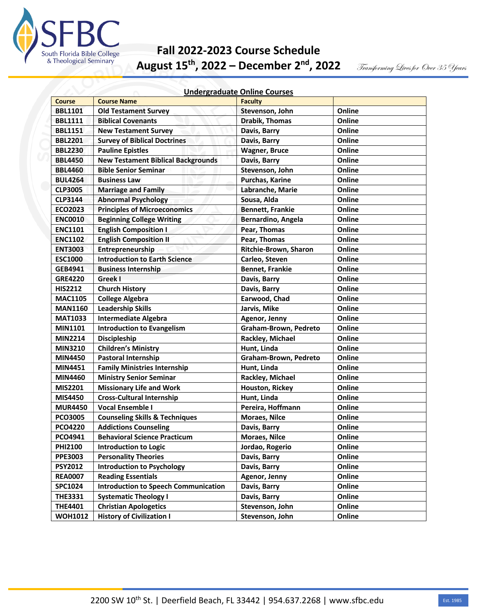

# **Fall 2022-2023 Course Schedule August 15th, 2022 – December 2nd, 2022**

Transforming Lives for Over 35 Years

| <b>Undergraduate Online Courses</b> |  |
|-------------------------------------|--|
|                                     |  |

| <b>Course</b>  | <b>Course Name</b>                          | <b>Faculty</b>          |        |
|----------------|---------------------------------------------|-------------------------|--------|
| <b>BBL1101</b> | <b>Old Testament Survey</b>                 | Stevenson, John         | Online |
| <b>BBL1111</b> | <b>Biblical Covenants</b>                   | <b>Drabik, Thomas</b>   | Online |
| <b>BBL1151</b> | <b>New Testament Survey</b>                 | Davis, Barry            | Online |
| <b>BBL2201</b> | <b>Survey of Biblical Doctrines</b>         | Davis, Barry            | Online |
| <b>BBL2230</b> | <b>Pauline Epistles</b>                     | <b>Wagner, Bruce</b>    | Online |
| <b>BBL4450</b> | <b>New Testament Biblical Backgrounds</b>   | Davis, Barry            | Online |
| <b>BBL4460</b> | <b>Bible Senior Seminar</b>                 | Stevenson, John         | Online |
| <b>BUL4264</b> | <b>Business Law</b>                         | <b>Purchas, Karine</b>  | Online |
| <b>CLP3005</b> | <b>Marriage and Family</b>                  | Labranche, Marie        | Online |
| <b>CLP3144</b> | <b>Abnormal Psychology</b>                  | Sousa, Alda             | Online |
| <b>ECO2023</b> | <b>Principles of Microeconomics</b>         | <b>Bennett, Frankie</b> | Online |
| <b>ENC0010</b> | <b>Beginning College Writing</b>            | Bernardino, Angela      | Online |
| <b>ENC1101</b> | <b>English Composition I</b>                | Pear, Thomas            | Online |
| <b>ENC1102</b> | <b>English Composition II</b>               | Pear, Thomas            | Online |
| <b>ENT3003</b> | Entrepreneurship                            | Ritchie-Brown, Sharon   | Online |
| <b>ESC1000</b> | <b>Introduction to Earth Science</b>        | Carleo, Steven          | Online |
| GEB4941        | <b>Business Internship</b>                  | <b>Bennet, Frankie</b>  | Online |
| <b>GRE4220</b> | Greek I                                     | Davis, Barry            | Online |
| <b>HIS2212</b> | <b>Church History</b>                       | Davis, Barry            | Online |
| <b>MAC1105</b> | <b>College Algebra</b>                      | Earwood, Chad           | Online |
| <b>MAN1160</b> | <b>Leadership Skills</b>                    | Jarvis, Mike            | Online |
| <b>MAT1033</b> | <b>Intermediate Algebra</b>                 | Agenor, Jenny           | Online |
| <b>MIN1101</b> | <b>Introduction to Evangelism</b>           | Graham-Brown, Pedreto   | Online |
| <b>MIN2214</b> | <b>Discipleship</b>                         | Rackley, Michael        | Online |
| <b>MIN3210</b> | <b>Children's Ministry</b>                  | Hunt, Linda             | Online |
| <b>MIN4450</b> | <b>Pastoral Internship</b>                  | Graham-Brown, Pedreto   | Online |
| <b>MIN4451</b> | <b>Family Ministries Internship</b>         | Hunt, Linda             | Online |
| <b>MIN4460</b> | <b>Ministry Senior Seminar</b>              | Rackley, Michael        | Online |
| MIS2201        | <b>Missionary Life and Work</b>             | Houston, Rickey         | Online |
| <b>MIS4450</b> | <b>Cross-Cultural Internship</b>            | Hunt, Linda             | Online |
| <b>MUR4450</b> | <b>Vocal Ensemble I</b>                     | Pereira, Hoffmann       | Online |
| <b>PCO3005</b> | <b>Counseling Skills &amp; Techniques</b>   | <b>Moraes, Nilce</b>    | Online |
| <b>PCO4220</b> | <b>Addictions Counseling</b>                | Davis, Barry            | Online |
| PCO4941        | <b>Behavioral Science Practicum</b>         | <b>Moraes, Nilce</b>    | Online |
| <b>PHI2100</b> | Introduction to Logic                       | Jordao, Rogerio         | Online |
| <b>PPE3003</b> | <b>Personality Theories</b>                 | Davis, Barry            | Online |
| <b>PSY2012</b> | <b>Introduction to Psychology</b>           | Davis, Barry            | Online |
| <b>REA0007</b> | <b>Reading Essentials</b>                   | Agenor, Jenny           | Online |
| <b>SPC1024</b> | <b>Introduction to Speech Communication</b> | Davis, Barry            | Online |
| <b>THE3331</b> | <b>Systematic Theology I</b>                | Davis, Barry            | Online |
| <b>THE4401</b> | <b>Christian Apologetics</b>                | Stevenson, John         | Online |
| <b>WOH1012</b> | <b>History of Civilization I</b>            | Stevenson, John         | Online |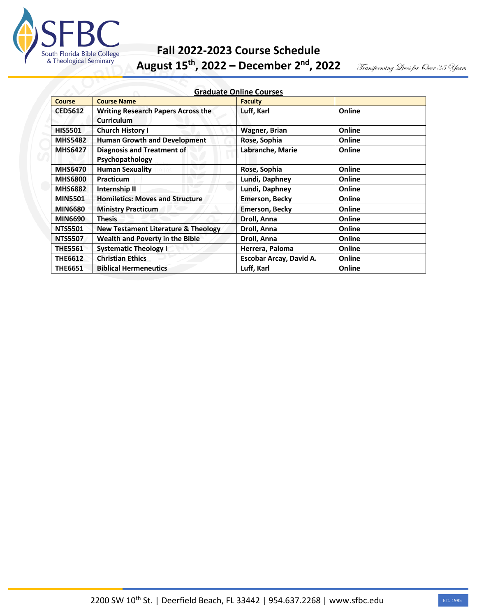

# **Fall 2022-2023 Course Schedule**<br>
& Theological Seminary<br> **August 15th 2022 - December 2nd 2**

**August 15th, 2022 – December 2nd, 2022** 

Transforming Lives for Over 35 Years

| <b>Graduate Online Courses</b> |                                                                |                         |        |
|--------------------------------|----------------------------------------------------------------|-------------------------|--------|
| Course                         | <b>Course Name</b>                                             | <b>Faculty</b>          |        |
| <b>CED5612</b>                 | <b>Writing Research Papers Across the</b><br><b>Curriculum</b> | Luff, Karl              | Online |
| <b>HIS5501</b>                 | <b>Church History I</b>                                        | <b>Wagner, Brian</b>    | Online |
| <b>MHS5482</b>                 | <b>Human Growth and Development</b>                            | Rose, Sophia            | Online |
| <b>MHS6427</b>                 | <b>Diagnosis and Treatment of</b><br>Psychopathology           | Labranche, Marie        | Online |
| <b>MHS6470</b>                 | <b>Human Sexuality</b>                                         | Rose, Sophia            | Online |
| <b>MHS6800</b>                 | Practicum                                                      | Lundi, Daphney          | Online |
| <b>MHS6882</b>                 | Internship II                                                  | Lundi, Daphney          | Online |
| <b>MIN5501</b>                 | <b>Homiletics: Moves and Structure</b>                         | <b>Emerson, Becky</b>   | Online |
| <b>MIN6680</b>                 | <b>Ministry Practicum</b>                                      | <b>Emerson, Becky</b>   | Online |
| <b>MIN6690</b>                 | <b>Thesis</b>                                                  | Droll, Anna             | Online |
| <b>NTS5501</b>                 | New Testament Literature & Theology                            | Droll, Anna             | Online |
| <b>NTS5507</b>                 | <b>Wealth and Poverty in the Bible</b>                         | Droll, Anna             | Online |
| <b>THE5561</b>                 | <b>Systematic Theology I</b>                                   | Herrera, Paloma         | Online |
| <b>THE6612</b>                 | <b>Christian Ethics</b>                                        | Escobar Arcay, David A. | Online |
| <b>THE6651</b>                 | <b>Biblical Hermeneutics</b>                                   | Luff, Karl              | Online |

## 2200 SW 10<sup>th</sup> St. | Deerfield Beach, FL 33442 | 954.637.2268 | www.sfbc.edu Est. 1985